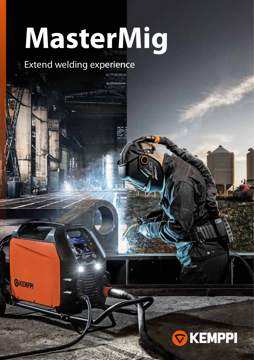# **MasterMig**

## Extend welding experience

OKEMPPI

# **T** KEMPPI

17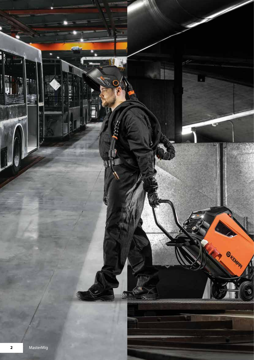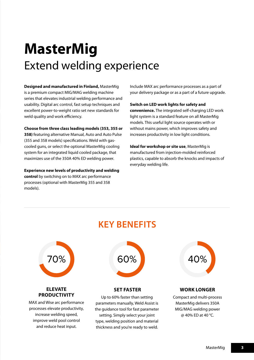# **MasterMig** Extend welding experience

**Designed and manufactured in Finland,** MasterMig is a premium compact MIG/MAG welding machine series that elevates industrial welding performance and usability. Digital arc control, fast setup techniques and excellent power-to-weight ratio set new standards for weld quality and work efficiency.

**Choose from three class leading models (353, 355 or** 

**358)** featuring alternative Manual, Auto and Auto Pulse (355 and 358 models) specifications. Weld with gascooled guns, or select the optional MasterMig cooling system for an integrated liquid cooled package, that maximizes use of the 350A 40% ED welding power.

**Experience new levels of productivity and welding control** by switching on to MAX arc performance processes (optional with MasterMig 355 and 358 models).

Include MAX arc performance processes as a part of your delivery package or as a part of a future upgrade.

#### **Switch on LED work lights for safety and**

**convenience.** The integrated self-charging LED work light system is a standard feature on all MasterMig models. This useful light source operates with or without mains power, which improves safety and increases productivity in low light conditions.

**Ideal for workshop or site use**, MasterMig is manufactured from injection-molded reinforced plastics, capable to absorb the knocks and impacts of everyday welding life.



#### **ELEVATE PRODUCTIVITY**

MAX and Wise arc performance processes elevate productivity, increase welding speed, improve weld pool control and reduce heat input.

### **KEY BENEFITS**



#### **SET FASTER**

Up to 60% faster than setting parameters manually, Weld Assist is the guidance tool for fast parameter setting. Simply select your joint type, welding position and material thickness and you're ready to weld.



#### **WORK LONGER**

Compact and multi-process MasterMig delivers 350A MIG/MAG welding power @ 40% ED at 40 °C.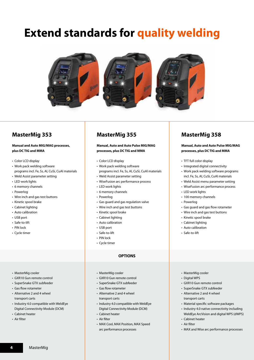# **Extend standards for quality welding**



#### **MasterMig 353**

#### **Manual and Auto MIG/MAG processes, plus DC TIG and MMA**

- Color LCD display
- Work pack welding software
- programs incl. Fe, Ss, Al, CuSi, CuAl materials
- Weld Assist parameter setting
- LED work lights
- 6 memory channels
- Powerlog
- Wire inch and gas test buttons
- Kinetic spool brake
- Cabinet lighting
- Auto calibration
- USB port
- Safe-to-lift
- PIN lock
- Cycle timer

#### **MasterMig 355**

**Manual, Auto and Auto Pulse MIG/MAG processes, plus DC TIG and MMA**

- Color LCD display
- Work pack welding software programs incl. Fe, Ss, Al, CuSi, CuAl materials
- Weld Assist parameter setting
- WiseFusion arc performance process
- LED work lights
- 6 memory channels
- Powerlog
- Gas guard and gas regulation valve
- Wire inch and gas test buttons
- Kinetic spool brake
- Cabinet lighting
- Auto calibration
- USB port
- Safe-to-lift
- PIN lock
- Cycle timer

#### **OPTIONS**

#### • MasterMig cooler

- Digital WPS
- GXR10 Gun remote control
- SuperSnake GTX subfeeder
- Alternative 2 and 4 wheel transport carts
- Material specific software packages
- Industry 4.0 native connectivity including WeldEye ArcVision and digital WPS (dWPS)
- Cabinet heater
- Air filter
- MAX and Wise arc performance processes
- MasterMig cooler
- GXR10 Gun remote control
- SuperSnake GTX subfeeder
- Gas flow rotameter
- transport carts
- Digital Connectivity Module (DCM)
- Cabinet heater
- 
- MasterMig cooler
- GXR10 Gun remote control • SuperSnake GTX subfeeder
- Gas flow rotameter
- Alternative 2 and 4 wheel transport carts
- Industry 4.0 compatible with WeldEye Digital Connectivity Module (DCM)
- Cabinet heater
- Air filter
- MAX Cool, MAX Position, MAX Speed arc performance processes

#### **MasterMig 358**

**Manual, Auto and Auto Pulse MIG/MAG processes, plus DC TIG and MMA**

- TFT full color display
- Integrated digital connectivity
- Work pack welding software programs incl. Fe, Ss, Al, CuSi, CuAl materials
- Weld Assist menu parameter setting
- WiseFusion arc performance process
- LED work lights
- 100 memory channels
- Powerlog
- Gas guard and gas flow rotameter
- Wire inch and gas test buttons
- Kinetic spool brake
- Cabinet lighting
- Auto calibration
- Safe-to-lift

- 
- 
- -
- Alternative 2 and 4 wheel
- Industry 4.0 compatible with WeldEye
- 
- 
- Air filter

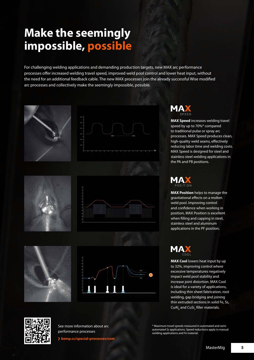# **Make the seemingly impossible, possible**

For challenging welding applications and demanding production targets, new MAX arc performance processes offer increased welding travel speed, improved weld pool control and lower heat input, without the need for an additional feedback cable. The new MAX processes join the already successful Wise modified arc processes and collectively make the seemingly impossible, possible.













# M

**MAX Speed** increases welding travel speed by up to 70%\* compared to traditional pulse or spray arc processes. MAX Speed produces clean, high-quality weld seams, effectively reducing labor time and welding costs. MAX Speed is designed for steel and stainless steel welding applications in the PA and PB positions.



**MAX Position** helps to manage the gravitational effects on a molten weld pool. Improving control and confidence when working in position, MAX Position is excellent when filling and capping in steel, stainless steel and aluminum applications in the PF position.



**MAX Cool** lowers heat input by up to 32%, improving control where excessive temperatures negatively impact weld pool stability and increase joint distortion. MAX Cool is ideal for a variety of applications, including thin sheet fabrication, root welding, gap bridging and joining thin extruded sections in solid Fe, Ss, CuAl $_{8}$  and CuSi $_{3}$  filler materials.

See more information about arc performance processes

**kemp.cc/special-processes/com**

\* Maximum travel speeds measured in automated and semiautomated Ss applications. Speed reductions apply in manual welding applications and Fe material.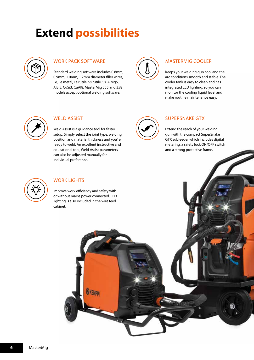# **Extend possibilities**



#### WORK PACK SOFTWARE

Standard welding software includes 0.8mm, 0.9mm, 1.0mm, 1.2mm diameter filler wires, Fe, Fe metal, Fe rutile, Ss rutile, Ss, AlMg5, AlSi5, CuSi3, CuAl8. MasterMig 355 and 358 models accept optional welding software.



#### MASTERMIG COOLER

Keeps your welding gun cool and the arc conditions smooth and stable. The cooler tank is easy to clean and has integrated LED lighting, so you can monitor the cooling liquid level and make routine maintenance easy.



#### WELD ASSIST

Weld Assist is a guidance tool for faster setup. Simply select the joint type, welding position and material thickness and you're ready to weld. An excellent instructive and educational tool, Weld Assist parameters can also be adjusted manually for individual preference.



#### SUPERSNAKE GTX

Extend the reach of your welding gun with the compact SuperSnake GTX subfeeder which includes digital metering, a safety lock ON/OFF switch and a strong protective frame.



#### WORK LIGHTS

Improve work efficiency and safety with or without mains power connected. LED lighting is also included in the wire feed cabinet.

**OKEMPI**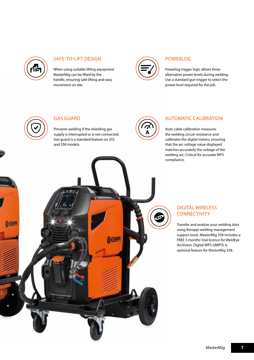

#### SAFE-TO-LIFT DESIGN

When using suitable lifting equipment MasterMig can be lifted by the handle, ensuring safe lifting and easy movement on site.



#### POWERLOG

Powerlog trigger logic allows three alternative power levels during welding. Use a standard gun trigger to select the power level required for the job.



GKEMPP

#### GAS GUARD

Prevents welding if the shielding gas supply is interrupted or is not connected. Gas guard is a standard feature on 355 and 358 models.

OKEMPPI



#### AUTOMATIC CALIBRATION

Auto cable calibration measures the welding circuit resistance and calibrates the digital meters, ensuring that the arc voltage value displayed matches accurately the voltage of the welding arc. Critical for accurate WPS compliance.



Transfer and analyse your welding data using Kemppi welding management support tools. MasterMig 358 includes a FREE 3 months' trial licence for WeldEye ArcVision. Digital WPS (dWPS) is optional feature for MasterMig 358.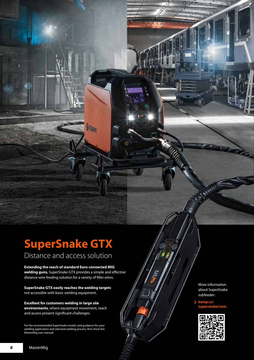### **SuperSnake GTX**  Distance and access solution

**Extending the reach of standard Euro-connected MIG welding guns,** SuperSnake GTX provides a simple and effective distance wire feeding solution for a variety of filler wires.

KBARA

**SuperSnake GTX easily reaches the welding targets** not accessible with basic welding equipment.

**Excellent for customers welding in large site environments**, where equipment movement, reach and access present significant challenges.

For the recommended SuperSnake model, and guidance for your welding application and selected welding process, first check the MasterMig user manual.

More information about SuperSnake subfeeder:

X **kemp.cc/ supersnake/com**

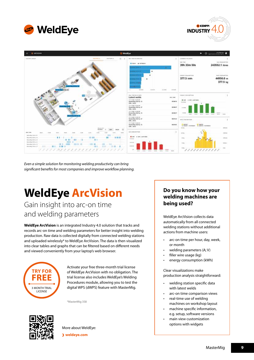





*Even a simple solution for monitoring welding productivity can bring significant benefits for most companies and improve workflow planning.*

# **WeldEye ArcVision**

Gain insight into arc-on time and welding parameters

**WeldEye ArcVision** is an integrated Industry 4.0 solution that tracks and records arc-on time and welding parameters for better insight into welding production. Raw data is collected digitally from connected welding stations and uploaded wirelessly\* to WeldEye ArcVision. The data is then visualized into clear tables and graphs that can be filtered based on different needs and viewed conveniently from your laptop's web browser.



Activate your free three-month trial license of WeldEye ArcVision with no obligation. The trial license also includes WeldEye's Welding Procedures module, allowing you to test the digital WPS (dWPS) feature with MasterMig.

\*MasterMig 358



**weldeye.com** More about WeldEye:

#### **Do you know how your welding machines are being used?**

WeldEye ArcVision collects data automatically from all connected welding stations without additional actions from machine users:

- arc-on time per hour, day, week, or month
- welding parameters (A; V)
- filler wire usage (kg)
- energy consumption (kWh)

Clear visualizations make production analysis straightforward:

- welding station specific data with latest welds
- arc-on time comparison views
- real-time use of welding machines on workshop layout
- machine specific information, e.g. setup, software versions
- main view customization options with widgets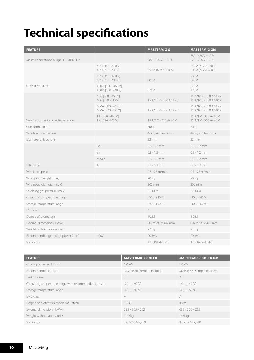# **Technical specifications**

| <b>FEATURE</b>                       |                                         | <b>MASTERMIG G</b>     | <b>MASTERMIG GM</b>                              |
|--------------------------------------|-----------------------------------------|------------------------|--------------------------------------------------|
| Mains connection voltage 3~ 50/60 Hz |                                         | 380 - 460 V ± 10 %     | 380 - 460 V ±10 %<br>220 - 230 V ±10 %           |
|                                      | 40% [380 - 460 V]<br>40% [220 - 230 V]  | 350 A (MMA 330 A)      | 350 A (MMA 330 A)<br>300 A (MMA 280 A)           |
|                                      | 60% [380 - 460 V]<br>60% [220 -230 V]   | 280 A                  | 280 A<br>240 A                                   |
| Output at +40 °C                     | 100% [380 - 460 V]<br>100% [220 -230 V] | 220 A                  | 220 A<br>190 A                                   |
|                                      | MIG [380 - 460 V]<br>MIG [220 - 230 V]  | 15 A/10 V - 350 A/45 V | 15 A/10 V - 350 A/45 V<br>15 A/10 V - 300 A/40 V |
|                                      | MMA [380 - 460 V]<br>MMA [220 -230 V]   | 15 A/10 V - 330 A/45 V | 15 A/10 V - 330 A/45 V<br>15 A/10 V - 300 A/40 V |
| Welding current and voltage range    | TIG [380 - 460 V]<br>TIG [220 - 230 V]  | 15 A/1 V - 350 A/45 V  | 15 A/1 V - 350 A/45 V<br>15 A/1 V - 300 A/40 V   |
| Gun connection                       |                                         | Euro                   | Euro                                             |
| Wire feed mechanism                  |                                         | 4-roll, single-motor   | 4-roll, single-motor                             |
| Diameter of feed rolls               |                                         | 32 mm                  | 32 mm                                            |
|                                      | Fe                                      | $0.8 - 1.2$ mm         | $0.8 - 1.2$ mm                                   |
|                                      | Ss                                      | $0.8 - 1.2$ mm         | $0.8 - 1.2$ mm                                   |
|                                      | Mc/Fc                                   | $0.8 - 1.2$ mm         | $0.8 - 1.2$ mm                                   |
| Filler wires                         | $\mathsf{A}$                            | $0.8 - 1.2$ mm         | $0.8 - 1.2$ mm                                   |
| Wire feed speed                      |                                         | $0.5 - 25$ m/min       | $0.5 - 25$ m/min                                 |
| Wire spool weight (max)              |                                         | 20 kg                  | 20 kg                                            |
| Wire spool diameter (max)            |                                         | 300 mm                 | 300 mm                                           |
| Shielding gas pressure (max)         |                                         | 0.5 MPa                | $0.5$ MPa                                        |
| Operating temperature range          |                                         | $-20+40$ °C            | $-20+40$ °C                                      |
| Storage temperature range            |                                         | $-40+60$ °C            | $-40+60$ °C                                      |
| <b>EMC</b> class                     |                                         | A                      | $\forall$                                        |
| Degree of protection                 |                                         | IP <sub>235</sub>      | IP <sub>23</sub> S                               |
| External dimensions LxWxH            |                                         | 602 x 298 x 447 mm     | 602 x 298 x 447 mm                               |
| Weight without accessories           |                                         | 27 kg                  | 27 kg                                            |
| Recommended generator power (min)    | 400V                                    | 20 kVA                 | 20 kVA                                           |
| Standards                            |                                         | IEC 60974-1, -10       | IEC 60974-1, -10                                 |

| <b>FEATURE</b>                                       | <b>MASTERMIG COOLER</b>   | <b>MASTERMIG COOLER MV</b> |
|------------------------------------------------------|---------------------------|----------------------------|
| Cooling power at 1 l/min                             | $1.0$ kW                  | 1.0 kW                     |
| Recommended coolant                                  | MGP 4456 (Kemppi mixture) | MGP 4456 (Kemppi mixture)  |
| Tank volume                                          | 31                        | 31                         |
| Operating temperature range with recommended coolant | $-20+40 °C$               | $-20+40$ °C                |
| Storage temperature range                            | $-40+60$ °C               | $-40+60$ °C                |
| EMC class                                            | A                         | A                          |
| Degree of protection (when mounted)                  | IP <sub>235</sub>         | IP <sub>235</sub>          |
| External dimensions LxWxH                            | 635 x 305 x 292           | 635 x 305 x 292            |
| Weight without accessories                           | 14,9 kg                   | 14,9 kg                    |
| Standards                                            | IEC 60974-2, -10          | IEC 60974-2, -10           |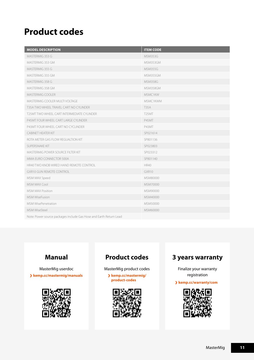### **Product codes**

| <b>MODEL DESCRIPTION</b>                                           | <b>ITEM CODE</b>   |
|--------------------------------------------------------------------|--------------------|
| MASTERMIG 353 G                                                    | <b>MSM353G</b>     |
| MASTERMIG 353 GM                                                   | MSM353GM           |
| MASTERMIG 355 G                                                    | <b>MSM355G</b>     |
| MASTERMIG 355 GM                                                   | <b>MSM355GM</b>    |
| MASTERMIG 358 G                                                    | <b>MSM358G</b>     |
| MASTERMIG 358 GM                                                   | <b>MSM358GM</b>    |
| <b>MASTERMIG COOLER</b>                                            | MSMC1KW            |
| MASTERMIG COOLER MULTI VOLTAGE                                     | MSMC1KWM           |
| T35A TWO WHEEL TRAVEL CART NO CYLINDER                             | <b>T35A</b>        |
| T25MT TWO WHEEL CART INTERMEDIATE CYLINDER                         | T <sub>25</sub> MT |
| P45MT FOUR WHEEL CART LARGE CYLINDER                               | P45MT              |
| P43MT FOUR WHEEL CART NO CYCLINDER                                 | P43MT              |
| <b>CABINET HEATER KIT</b>                                          | SP021614           |
| ROTA METER GAS FLOW REGUALTION KIT                                 | SP801136           |
| SUPERSNAKE KIT                                                     | SP023803           |
| MASTERMIG POWER SOURCE FILTER KIT                                  | SP023312           |
| MMA EURO CONNECTOR 500A                                            | SP801140           |
| HR40 TWO KNOB WIRED HAND REMOTE CONTROL                            | <b>HR40</b>        |
| <b>GXR10 GUN REMOTE CONTROL</b>                                    | GXR10              |
| MSM MAX Speed                                                      | MSM80000           |
| MSM MAX Cool                                                       | MSM70000           |
| <b>MSM MAX Position</b>                                            | MSM90000           |
| <b>MSM WiseFusion</b>                                              | MSM40000           |
| <b>MSM WisePenetration</b>                                         | MSM50000           |
| <b>MSM WiseSteel</b>                                               | MSM60000           |
| Note: Power source packages include Gas Hose and Earth Return Lead |                    |

#### **Manual**

MasterMig userdoc **kemp.cc/mastermig/manuals**



#### **Product codes**

MasterMig product codes

**kemp.cc/mastermig/ product-codes**



#### **3 years warranty**

Finalize your warranty registration

**kemp.cc/warranty/com**